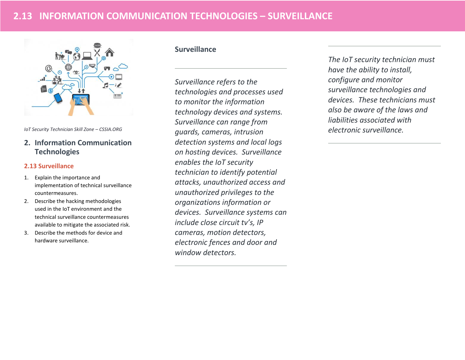

*IoT Security Technician Skill Zone – CSSIA.ORG*

# **2. Information Communication Technologies**

#### **2.13 Surveillance**

- 1. Explain the importance and implementation of technical surveillance countermeasures.
- 2. Describe the hacking methodologies used in the IoT environment and the technical surveillance countermeasures available to mitigate the associated risk.
- 3. Describe the methods for device and hardware surveillance.

## **Surveillance**

*Surveillance refers to the technologies and processes used to monitor the information technology devices and systems. Surveillance can range from guards, cameras, intrusion detection systems and local logs on hosting devices. Surveillance enables the IoT security technician to identify potential attacks, unauthorized access and unauthorized privileges to the organizations information or devices. Surveillance systems can include close circuit tv's, IP cameras, motion detectors, electronic fences and door and window detectors.* 

*The IoT security technician must have the ability to install, configure and monitor surveillance technologies and devices. These technicians must also be aware of the laws and liabilities associated with electronic surveillance.*